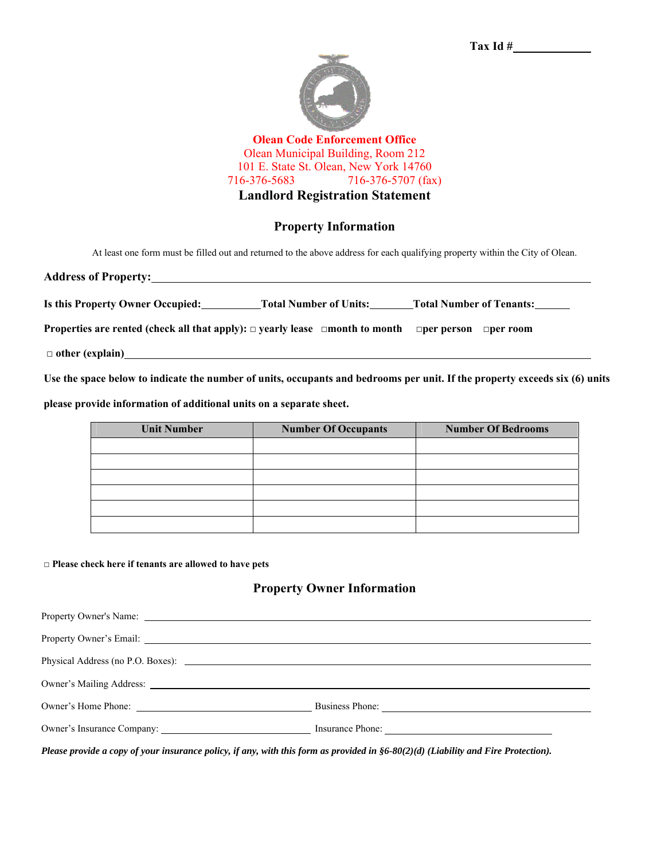



**Olean Code Enforcement Office**  Olean Municipal Building, Room 212 101 E. State St. Olean, New York 14760 716-376-5683 716-376-5707 (fax) **Landlord Registration Statement** 

## **Property Information**

At least one form must be filled out and returned to the above address for each qualifying property within the City of Olean.

| <b>Address of Property:</b>      |                               |                                 |  |
|----------------------------------|-------------------------------|---------------------------------|--|
|                                  |                               |                                 |  |
| Is this Property Owner Occupied: | <b>Total Number of Units:</b> | <b>Total Number of Tenants:</b> |  |

**Properties are rented (check all that apply): □ yearly lease □month to month □per person □per room** 

□ **other (explain)**

**Use the space below to indicate the number of units, occupants and bedrooms per unit. If the property exceeds six (6) units** 

**please provide information of additional units on a separate sheet.** 

| <b>Unit Number</b> | <b>Number Of Occupants</b> | <b>Number Of Bedrooms</b> |
|--------------------|----------------------------|---------------------------|
|                    |                            |                           |
|                    |                            |                           |
|                    |                            |                           |
|                    |                            |                           |
|                    |                            |                           |
|                    |                            |                           |

**□ Please check here if tenants are allowed to have pets**

## **Property Owner Information**

| Property Owner's Email: <u>New York: 2008</u>                                                                                                                                                                                  |                 |
|--------------------------------------------------------------------------------------------------------------------------------------------------------------------------------------------------------------------------------|-----------------|
|                                                                                                                                                                                                                                |                 |
| Owner's Mailing Address: 2008. 2009. 2010. 2010. 2010. 2012. 2013. 2014. 2015. 2016. 2017. 2018. 2019. 2019. 2017. 2018. 2019. 2019. 2019. 2019. 2019. 2019. 2019. 2019. 2019. 2019. 2019. 2019. 2019. 2019. 2019. 2019. 2019. |                 |
|                                                                                                                                                                                                                                | Business Phone: |
|                                                                                                                                                                                                                                |                 |
|                                                                                                                                                                                                                                |                 |

Please provide a copy of your insurance policy, if any, with this form as provided in  $§6-80(2)(d)$  (Liability and Fire Protection).